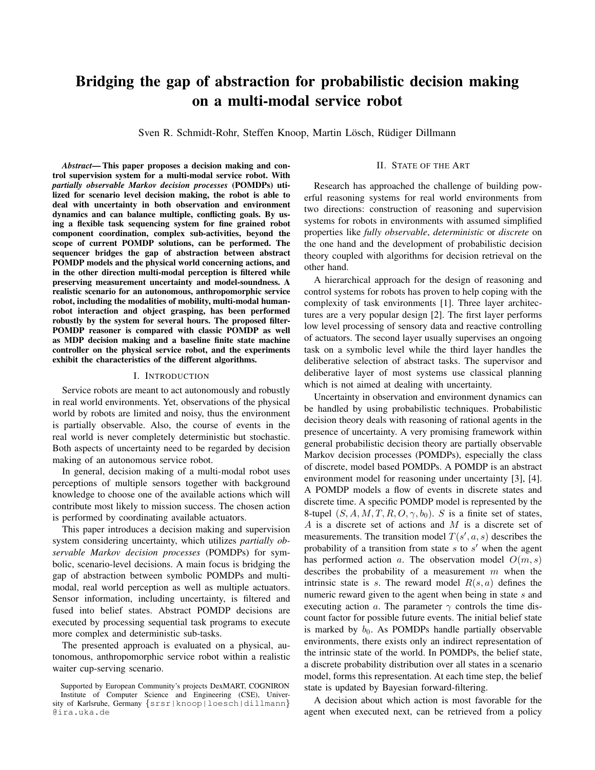# Bridging the gap of abstraction for probabilistic decision making on a multi-modal service robot

Sven R. Schmidt-Rohr, Steffen Knoop, Martin Lösch, Rüdiger Dillmann

*Abstract*— This paper proposes a decision making and control supervision system for a multi-modal service robot. With *partially observable Markov decision processes* (POMDPs) utilized for scenario level decision making, the robot is able to deal with uncertainty in both observation and environment dynamics and can balance multiple, conflicting goals. By using a flexible task sequencing system for fine grained robot component coordination, complex sub-activities, beyond the scope of current POMDP solutions, can be performed. The sequencer bridges the gap of abstraction between abstract POMDP models and the physical world concerning actions, and in the other direction multi-modal perception is filtered while preserving measurement uncertainty and model-soundness. A realistic scenario for an autonomous, anthropomorphic service robot, including the modalities of mobility, multi-modal humanrobot interaction and object grasping, has been performed robustly by the system for several hours. The proposed filter-POMDP reasoner is compared with classic POMDP as well as MDP decision making and a baseline finite state machine controller on the physical service robot, and the experiments exhibit the characteristics of the different algorithms.

#### I. INTRODUCTION

Service robots are meant to act autonomously and robustly in real world environments. Yet, observations of the physical world by robots are limited and noisy, thus the environment is partially observable. Also, the course of events in the real world is never completely deterministic but stochastic. Both aspects of uncertainty need to be regarded by decision making of an autonomous service robot.

In general, decision making of a multi-modal robot uses perceptions of multiple sensors together with background knowledge to choose one of the available actions which will contribute most likely to mission success. The chosen action is performed by coordinating available actuators.

This paper introduces a decision making and supervision system considering uncertainty, which utilizes *partially observable Markov decision processes* (POMDPs) for symbolic, scenario-level decisions. A main focus is bridging the gap of abstraction between symbolic POMDPs and multimodal, real world perception as well as multiple actuators. Sensor information, including uncertainty, is filtered and fused into belief states. Abstract POMDP decisions are executed by processing sequential task programs to execute more complex and deterministic sub-tasks.

The presented approach is evaluated on a physical, autonomous, anthropomorphic service robot within a realistic waiter cup-serving scenario.

# II. STATE OF THE ART

Research has approached the challenge of building powerful reasoning systems for real world environments from two directions: construction of reasoning and supervision systems for robots in environments with assumed simplified properties like *fully observable*, *deterministic* or *discrete* on the one hand and the development of probabilistic decision theory coupled with algorithms for decision retrieval on the other hand.

A hierarchical approach for the design of reasoning and control systems for robots has proven to help coping with the complexity of task environments [1]. Three layer architectures are a very popular design [2]. The first layer performs low level processing of sensory data and reactive controlling of actuators. The second layer usually supervises an ongoing task on a symbolic level while the third layer handles the deliberative selection of abstract tasks. The supervisor and deliberative layer of most systems use classical planning which is not aimed at dealing with uncertainty.

Uncertainty in observation and environment dynamics can be handled by using probabilistic techniques. Probabilistic decision theory deals with reasoning of rational agents in the presence of uncertainty. A very promising framework within general probabilistic decision theory are partially observable Markov decision processes (POMDPs), especially the class of discrete, model based POMDPs. A POMDP is an abstract environment model for reasoning under uncertainty [3], [4]. A POMDP models a flow of events in discrete states and discrete time. A specific POMDP model is represented by the 8-tupel  $(S, A, M, T, R, O, \gamma, b_0)$ . S is a finite set of states,  $A$  is a discrete set of actions and  $M$  is a discrete set of measurements. The transition model  $T(s', a, s)$  describes the probability of a transition from state  $s$  to  $s'$  when the agent has performed action a. The observation model  $O(m, s)$ describes the probability of a measurement  $m$  when the intrinsic state is s. The reward model  $R(s, a)$  defines the numeric reward given to the agent when being in state s and executing action a. The parameter  $\gamma$  controls the time discount factor for possible future events. The initial belief state is marked by  $b_0$ . As POMDPs handle partially observable environments, there exists only an indirect representation of the intrinsic state of the world. In POMDPs, the belief state, a discrete probability distribution over all states in a scenario model, forms this representation. At each time step, the belief state is updated by Bayesian forward-filtering.

A decision about which action is most favorable for the agent when executed next, can be retrieved from a policy

Supported by European Community's projects DexMART, COGNIRON Institute of Computer Science and Engineering (CSE), University of Karlsruhe, Germany  $\{srsr|\text{knoop}|\text{loesch}|\text{dillmann}\}$ @ira.uka.de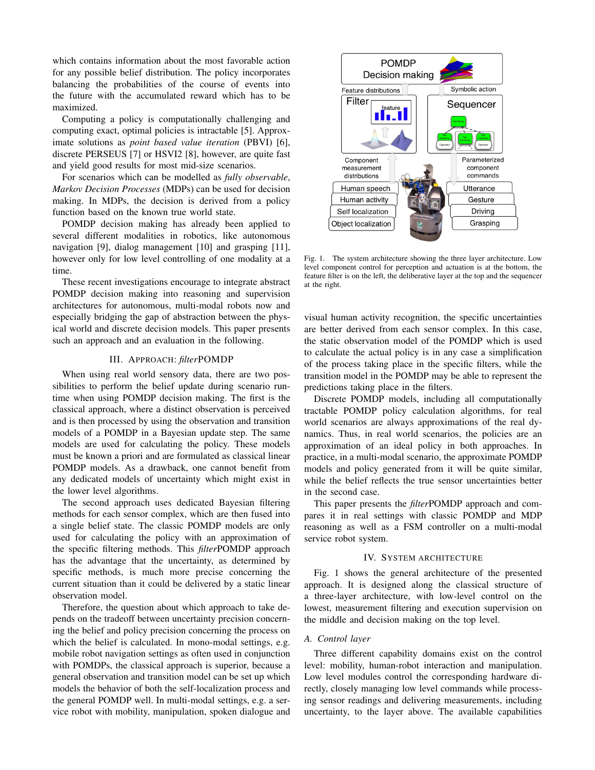which contains information about the most favorable action for any possible belief distribution. The policy incorporates balancing the probabilities of the course of events into the future with the accumulated reward which has to be maximized.

Computing a policy is computationally challenging and computing exact, optimal policies is intractable [5]. Approximate solutions as *point based value iteration* (PBVI) [6], discrete PERSEUS [7] or HSVI2 [8], however, are quite fast and yield good results for most mid-size scenarios.

For scenarios which can be modelled as *fully observable*, *Markov Decision Processes* (MDPs) can be used for decision making. In MDPs, the decision is derived from a policy function based on the known true world state.

POMDP decision making has already been applied to several different modalities in robotics, like autonomous navigation [9], dialog management [10] and grasping [11], however only for low level controlling of one modality at a time.

These recent investigations encourage to integrate abstract POMDP decision making into reasoning and supervision architectures for autonomous, multi-modal robots now and especially bridging the gap of abstraction between the physical world and discrete decision models. This paper presents such an approach and an evaluation in the following.

# III. APPROACH: *filter*POMDP

When using real world sensory data, there are two possibilities to perform the belief update during scenario runtime when using POMDP decision making. The first is the classical approach, where a distinct observation is perceived and is then processed by using the observation and transition models of a POMDP in a Bayesian update step. The same models are used for calculating the policy. These models must be known a priori and are formulated as classical linear POMDP models. As a drawback, one cannot benefit from any dedicated models of uncertainty which might exist in the lower level algorithms.

The second approach uses dedicated Bayesian filtering methods for each sensor complex, which are then fused into a single belief state. The classic POMDP models are only used for calculating the policy with an approximation of the specific filtering methods. This *filter*POMDP approach has the advantage that the uncertainty, as determined by specific methods, is much more precise concerning the current situation than it could be delivered by a static linear observation model.

Therefore, the question about which approach to take depends on the tradeoff between uncertainty precision concerning the belief and policy precision concerning the process on which the belief is calculated. In mono-modal settings, e.g. mobile robot navigation settings as often used in conjunction with POMDPs, the classical approach is superior, because a general observation and transition model can be set up which models the behavior of both the self-localization process and the general POMDP well. In multi-modal settings, e.g. a service robot with mobility, manipulation, spoken dialogue and



Fig. 1. The system architecture showing the three layer architecture. Low level component control for perception and actuation is at the bottom, the feature filter is on the left, the deliberative layer at the top and the sequencer at the right.

visual human activity recognition, the specific uncertainties are better derived from each sensor complex. In this case, the static observation model of the POMDP which is used to calculate the actual policy is in any case a simplification of the process taking place in the specific filters, while the transition model in the POMDP may be able to represent the predictions taking place in the filters.

Discrete POMDP models, including all computationally tractable POMDP policy calculation algorithms, for real world scenarios are always approximations of the real dynamics. Thus, in real world scenarios, the policies are an approximation of an ideal policy in both approaches. In practice, in a multi-modal scenario, the approximate POMDP models and policy generated from it will be quite similar, while the belief reflects the true sensor uncertainties better in the second case.

This paper presents the *filter*POMDP approach and compares it in real settings with classic POMDP and MDP reasoning as well as a FSM controller on a multi-modal service robot system.

# IV. SYSTEM ARCHITECTURE

Fig. 1 shows the general architecture of the presented approach. It is designed along the classical structure of a three-layer architecture, with low-level control on the lowest, measurement filtering and execution supervision on the middle and decision making on the top level.

# *A. Control layer*

Three different capability domains exist on the control level: mobility, human-robot interaction and manipulation. Low level modules control the corresponding hardware directly, closely managing low level commands while processing sensor readings and delivering measurements, including uncertainty, to the layer above. The available capabilities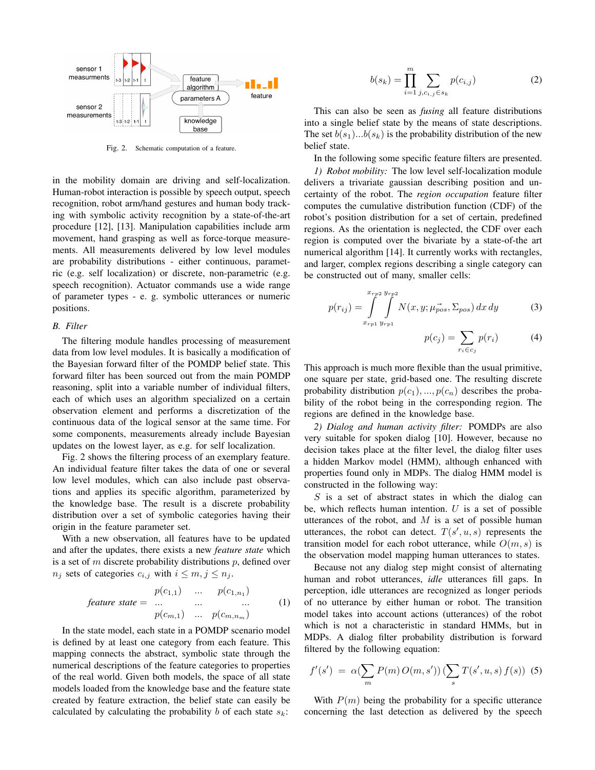

Fig. 2. Schematic computation of a feature.

in the mobility domain are driving and self-localization. Human-robot interaction is possible by speech output, speech recognition, robot arm/hand gestures and human body tracking with symbolic activity recognition by a state-of-the-art procedure [12], [13]. Manipulation capabilities include arm movement, hand grasping as well as force-torque measurements. All measurements delivered by low level modules are probability distributions - either continuous, parametric (e.g. self localization) or discrete, non-parametric (e.g. speech recognition). Actuator commands use a wide range of parameter types - e. g. symbolic utterances or numeric positions.

# *B. Filter*

The filtering module handles processing of measurement data from low level modules. It is basically a modification of the Bayesian forward filter of the POMDP belief state. This forward filter has been sourced out from the main POMDP reasoning, split into a variable number of individual filters, each of which uses an algorithm specialized on a certain observation element and performs a discretization of the continuous data of the logical sensor at the same time. For some components, measurements already include Bayesian updates on the lowest layer, as e.g. for self localization.

Fig. 2 shows the filtering process of an exemplary feature. An individual feature filter takes the data of one or several low level modules, which can also include past observations and applies its specific algorithm, parameterized by the knowledge base. The result is a discrete probability distribution over a set of symbolic categories having their origin in the feature parameter set.

With a new observation, all features have to be updated and after the updates, there exists a new *feature state* which is a set of  $m$  discrete probability distributions  $p$ , defined over  $n_j$  sets of categories  $c_{i,j}$  with  $i \leq m, j \leq n_j$ .

$$
feature state = \begin{array}{c} p(c_{1,1}) & \dots & p(c_{1,n_1}) \\ \dots & \dots & \dots \\ p(c_{m,1}) & \dots & p(c_{m,n_m}) \end{array} (1)
$$

In the state model, each state in a POMDP scenario model is defined by at least one category from each feature. This mapping connects the abstract, symbolic state through the numerical descriptions of the feature categories to properties of the real world. Given both models, the space of all state models loaded from the knowledge base and the feature state created by feature extraction, the belief state can easily be calculated by calculating the probability b of each state  $s_k$ :

$$
b(s_k) = \prod_{i=1}^{m} \sum_{j,c_{i,j} \in s_k} p(c_{i,j})
$$
 (2)

This can also be seen as *fusing* all feature distributions into a single belief state by the means of state descriptions. The set  $b(s_1)...b(s_k)$  is the probability distribution of the new belief state.

In the following some specific feature filters are presented.

*1) Robot mobility:* The low level self-localization module delivers a trivariate gaussian describing position and uncertainty of the robot. The *region occupation* feature filter computes the cumulative distribution function (CDF) of the robot's position distribution for a set of certain, predefined regions. As the orientation is neglected, the CDF over each region is computed over the bivariate by a state-of-the art numerical algorithm [14]. It currently works with rectangles, and larger, complex regions describing a single category can be constructed out of many, smaller cells:

$$
p(r_{ij}) = \int_{x_{rp1}}^{x_{rp2}} \int_{y_{rp1}}^{y_{rp2}} N(x, y; \mu_{pos}^{\rightarrow}, \Sigma_{pos}) dx dy
$$
 (3)

$$
p(c_j) = \sum_{r_i \in c_j} p(r_i) \tag{4}
$$

This approach is much more flexible than the usual primitive, one square per state, grid-based one. The resulting discrete probability distribution  $p(c_1), ..., p(c_n)$  describes the probability of the robot being in the corresponding region. The regions are defined in the knowledge base.

*2) Dialog and human activity filter:* POMDPs are also very suitable for spoken dialog [10]. However, because no decision takes place at the filter level, the dialog filter uses a hidden Markov model (HMM), although enhanced with properties found only in MDPs. The dialog HMM model is constructed in the following way:

 $S$  is a set of abstract states in which the dialog can be, which reflects human intention.  $U$  is a set of possible utterances of the robot, and  $M$  is a set of possible human utterances, the robot can detect.  $T(s', u, s)$  represents the transition model for each robot utterance, while  $O(m, s)$  is the observation model mapping human utterances to states.

Because not any dialog step might consist of alternating human and robot utterances, *idle* utterances fill gaps. In perception, idle utterances are recognized as longer periods of no utterance by either human or robot. The transition model takes into account actions (utterances) of the robot which is not a characteristic in standard HMMs, but in MDPs. A dialog filter probability distribution is forward filtered by the following equation:

$$
f'(s') = \alpha(\sum_{m} P(m) O(m, s')) (\sum_{s} T(s', u, s) f(s))
$$
 (5)

With  $P(m)$  being the probability for a specific utterance concerning the last detection as delivered by the speech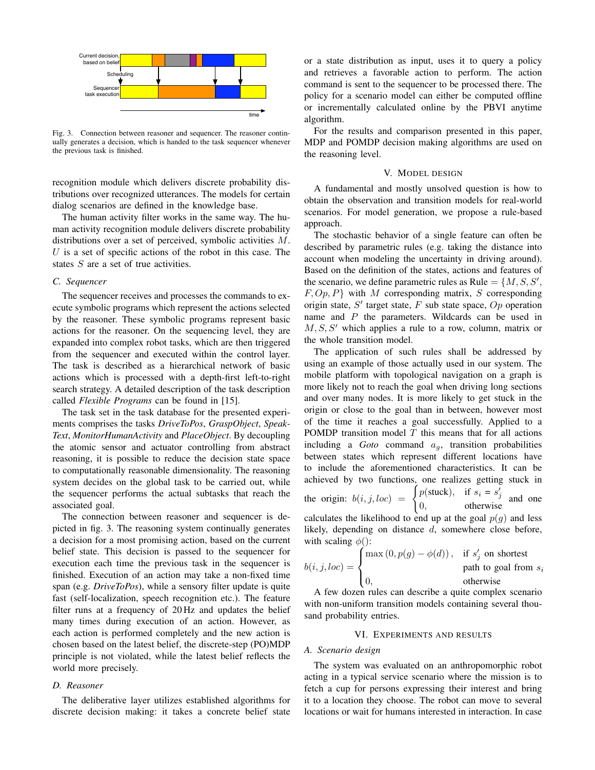

Fig. 3. Connection between reasoner and sequencer. The reasoner continually generates a decision, which is handed to the task sequencer whenever the previous task is finished.

recognition module which delivers discrete probability distributions over recognized utterances. The models for certain dialog scenarios are defined in the knowledge base.

The human activity filter works in the same way. The human activity recognition module delivers discrete probability distributions over a set of perceived, symbolic activities M.  $U$  is a set of specific actions of the robot in this case. The states S are a set of true activities.

# *C. Sequencer*

The sequencer receives and processes the commands to execute symbolic programs which represent the actions selected by the reasoner. These symbolic programs represent basic actions for the reasoner. On the sequencing level, they are expanded into complex robot tasks, which are then triggered from the sequencer and executed within the control layer. The task is described as a hierarchical network of basic actions which is processed with a depth-first left-to-right search strategy. A detailed description of the task description called *Flexible Programs* can be found in [15].

The task set in the task database for the presented experiments comprises the tasks *DriveToPos*, *GraspObject*, *Speak-Text*, *MonitorHumanActivity* and *PlaceObject*. By decoupling the atomic sensor and actuator controlling from abstract reasoning, it is possible to reduce the decision state space to computationally reasonable dimensionality. The reasoning system decides on the global task to be carried out, while the sequencer performs the actual subtasks that reach the associated goal.

The connection between reasoner and sequencer is depicted in fig. 3. The reasoning system continually generates a decision for a most promising action, based on the current belief state. This decision is passed to the sequencer for execution each time the previous task in the sequencer is finished. Execution of an action may take a non-fixed time span (e.g. *DriveToPos*), while a sensory filter update is quite fast (self-localization, speech recognition etc.). The feature filter runs at a frequency of 20 Hz and updates the belief many times during execution of an action. However, as each action is performed completely and the new action is chosen based on the latest belief, the discrete-step (PO)MDP principle is not violated, while the latest belief reflects the world more precisely.

# *D. Reasoner*

The deliberative layer utilizes established algorithms for discrete decision making: it takes a concrete belief state or a state distribution as input, uses it to query a policy and retrieves a favorable action to perform. The action command is sent to the sequencer to be processed there. The policy for a scenario model can either be computed offline or incrementally calculated online by the PBVI anytime algorithm.

For the results and comparison presented in this paper, MDP and POMDP decision making algorithms are used on the reasoning level.

#### V. MODEL DESIGN

A fundamental and mostly unsolved question is how to obtain the observation and transition models for real-world scenarios. For model generation, we propose a rule-based approach.

The stochastic behavior of a single feature can often be described by parametric rules (e.g. taking the distance into account when modeling the uncertainty in driving around). Based on the definition of the states, actions and features of the scenario, we define parametric rules as Rule =  $\{M, S, S', \}$  $F, Op, P$  with M corresponding matrix, S corresponding origin state,  $S'$  target state,  $F$  sub state space,  $Op$  operation name and  $P$  the parameters. Wildcards can be used in  $M, S, S'$  which applies a rule to a row, column, matrix or the whole transition model.

The application of such rules shall be addressed by using an example of those actually used in our system. The mobile platform with topological navigation on a graph is more likely not to reach the goal when driving long sections and over many nodes. It is more likely to get stuck in the origin or close to the goal than in between, however most of the time it reaches a goal successfully. Applied to a POMDP transition model  $T$  this means that for all actions including a  $Goto$  command  $a<sub>a</sub>$ , transition probabilities between states which represent different locations have to include the aforementioned characteristics. It can be achieved by two functions, one realizes getting stuck in the origin:  $b(i, j, loc) = \begin{cases} 1 \end{cases}$  $p(\text{stuck})$ , if  $s_i = s'_j$ 

the origin: 
$$
b(i, j, loc) = \begin{cases} P^{(c, c, c)}, & P^{(c, c, c)} \neq 0 \\ 0, & \text{otherwise} \end{cases}
$$
 and one  
calculus the likelihood to end up at the goal  $p(a)$  and less

calculates the likelihood to end up at the goal  $p(g)$  and less likely, depending on distance d, somewhere close before, with scaling  $\phi$ ():

$$
b(i, j, loc) = \begin{cases} \max(0, p(g) - \phi(d)), & \text{if } s'_j \text{ on shortest} \\ 0, & \text{otherwise} \end{cases}
$$

A few dozen rules can describe a quite complex scenario with non-uniform transition models containing several thousand probability entries.

# VI. EXPERIMENTS AND RESULTS

#### *A. Scenario design*

The system was evaluated on an anthropomorphic robot acting in a typical service scenario where the mission is to fetch a cup for persons expressing their interest and bring it to a location they choose. The robot can move to several locations or wait for humans interested in interaction. In case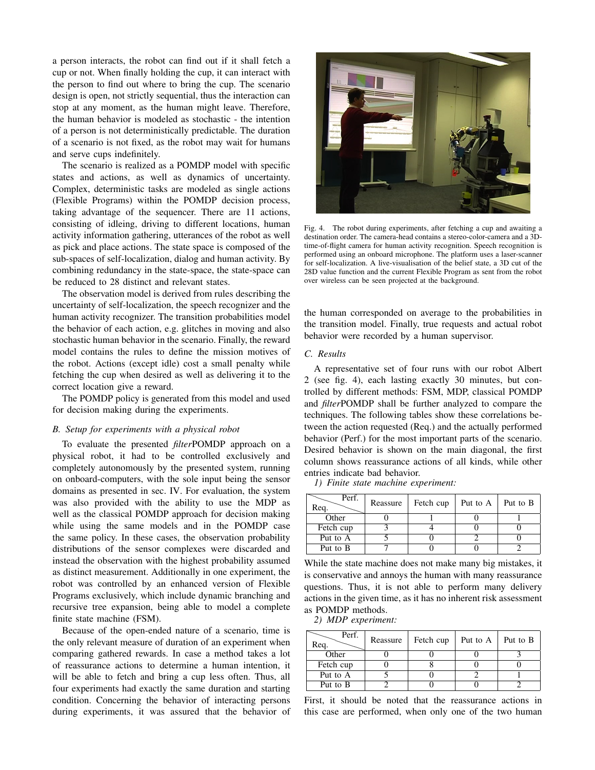a person interacts, the robot can find out if it shall fetch a cup or not. When finally holding the cup, it can interact with the person to find out where to bring the cup. The scenario design is open, not strictly sequential, thus the interaction can stop at any moment, as the human might leave. Therefore, the human behavior is modeled as stochastic - the intention of a person is not deterministically predictable. The duration of a scenario is not fixed, as the robot may wait for humans and serve cups indefinitely.

The scenario is realized as a POMDP model with specific states and actions, as well as dynamics of uncertainty. Complex, deterministic tasks are modeled as single actions (Flexible Programs) within the POMDP decision process, taking advantage of the sequencer. There are 11 actions, consisting of idleing, driving to different locations, human activity information gathering, utterances of the robot as well as pick and place actions. The state space is composed of the sub-spaces of self-localization, dialog and human activity. By combining redundancy in the state-space, the state-space can be reduced to 28 distinct and relevant states.

The observation model is derived from rules describing the uncertainty of self-localization, the speech recognizer and the human activity recognizer. The transition probabilities model the behavior of each action, e.g. glitches in moving and also stochastic human behavior in the scenario. Finally, the reward model contains the rules to define the mission motives of the robot. Actions (except idle) cost a small penalty while fetching the cup when desired as well as delivering it to the correct location give a reward.

The POMDP policy is generated from this model and used for decision making during the experiments.

# *B. Setup for experiments with a physical robot*

To evaluate the presented *filter*POMDP approach on a physical robot, it had to be controlled exclusively and completely autonomously by the presented system, running on onboard-computers, with the sole input being the sensor domains as presented in sec. IV. For evaluation, the system was also provided with the ability to use the MDP as well as the classical POMDP approach for decision making while using the same models and in the POMDP case the same policy. In these cases, the observation probability distributions of the sensor complexes were discarded and instead the observation with the highest probability assumed as distinct measurement. Additionally in one experiment, the robot was controlled by an enhanced version of Flexible Programs exclusively, which include dynamic branching and recursive tree expansion, being able to model a complete finite state machine (FSM).

Because of the open-ended nature of a scenario, time is the only relevant measure of duration of an experiment when comparing gathered rewards. In case a method takes a lot of reassurance actions to determine a human intention, it will be able to fetch and bring a cup less often. Thus, all four experiments had exactly the same duration and starting condition. Concerning the behavior of interacting persons during experiments, it was assured that the behavior of



Fig. 4. The robot during experiments, after fetching a cup and awaiting a destination order. The camera-head contains a stereo-color-camera and a 3Dtime-of-flight camera for human activity recognition. Speech recognition is performed using an onboard microphone. The platform uses a laser-scanner for self-localization. A live-visualisation of the belief state, a 3D cut of the 28D value function and the current Flexible Program as sent from the robot over wireless can be seen projected at the background.

the human corresponded on average to the probabilities in the transition model. Finally, true requests and actual robot behavior were recorded by a human supervisor.

## *C. Results*

A representative set of four runs with our robot Albert 2 (see fig. 4), each lasting exactly 30 minutes, but controlled by different methods: FSM, MDP, classical POMDP and *filter*POMDP shall be further analyzed to compare the techniques. The following tables show these correlations between the action requested (Req.) and the actually performed behavior (Perf.) for the most important parts of the scenario. Desired behavior is shown on the main diagonal, the first column shows reassurance actions of all kinds, while other entries indicate bad behavior.

*1) Finite state machine experiment:*

| Perf.<br>Reg. | Reassure | Fetch cup | Put to A | Put to B |
|---------------|----------|-----------|----------|----------|
| Other         |          |           |          |          |
| Fetch cup     |          |           |          |          |
| Put to A      |          |           |          |          |
| Put to B      |          |           |          |          |

While the state machine does not make many big mistakes, it is conservative and annoys the human with many reassurance questions. Thus, it is not able to perform many delivery actions in the given time, as it has no inherent risk assessment as POMDP methods.

*2) MDP experiment:*

| Perf.<br>Req. | Reassure | Fetch cup | Put to A | Put to B |
|---------------|----------|-----------|----------|----------|
| Other         |          |           |          |          |
| Fetch cup     |          |           |          |          |
| Put to A      |          |           |          |          |
| Put to B      |          |           |          |          |

First, it should be noted that the reassurance actions in this case are performed, when only one of the two human